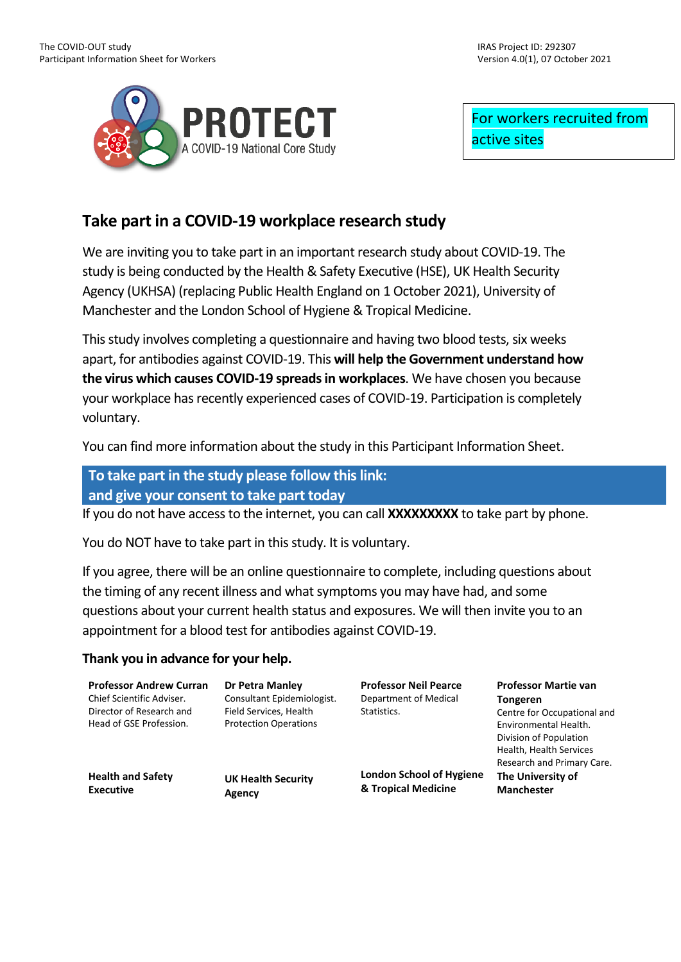

For workers recruited from active sites

# **Take part in a COVID-19 workplace research study**

We are inviting you to take part in an important research study about COVID-19. The study is being conducted by the Health & Safety Executive (HSE), UK Health Security Agency (UKHSA) (replacing Public Health England on 1 October 2021), University of Manchester and the London School of Hygiene & Tropical Medicine.

This study involves completing a questionnaire and having two blood tests, six weeks apart, for antibodies against COVID-19. This **will help the Government understand how the virus which causes COVID-19 spreadsin workplaces**. We have chosen you because your workplace has recently experienced cases of COVID-19. Participation is completely voluntary.

You can find more information about the study in this Participant Information Sheet.

## **To take part in the study please follow this link: and give your consent to take part today**

If you do not have access to the internet, you can call **XXXXXXXXX** to take part by phone.

You do NOT have to take part in this study. It is voluntary.

If you agree, there will be an online questionnaire to complete, including questions about the timing of any recent illness and what symptoms you may have had, and some questions about your current health status and exposures. We will then invite you to an appointment for a blood test for antibodies against COVID-19.

### **Thank you in advance for your help.**

**Professor Andrew Curran** Chief Scientific Adviser. Director of Research and Head of GSE Profession. **Health and Safety Executive Dr Petra Manley** Consultant Epidemiologist. Field Services, Health Protection Operations **UK Health Security Agency Professor Neil Pearce** Department of Medical Statistics. **London School of Hygiene & Tropical Medicine Professor Martie van Tongeren** Centre for Occupational and Environmental Health. Division of Population Health, Health Services Research and Primary Care. **The University of Manchester**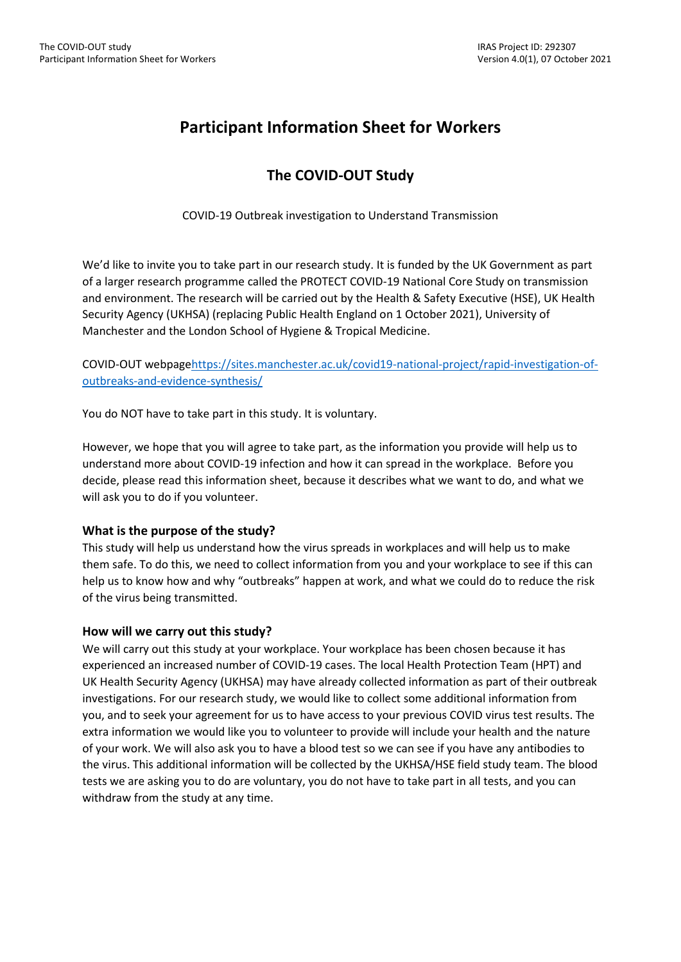# **Participant Information Sheet for Workers**

# **The COVID-OUT Study**

COVID-19 Outbreak investigation to Understand Transmission

We'd like to invite you to take part in our research study. It is funded by the UK Government as part of a larger research programme called the PROTECT COVID-19 National Core Study on transmission and environment. The research will be carried out by the Health & Safety Executive (HSE), UK Health Security Agency (UKHSA) (replacing Public Health England on 1 October 2021), University of Manchester and the London School of Hygiene & Tropical Medicine.

COVID-OUT webpag[ehttps://sites.manchester.ac.uk/covid19-national-project/rapid-investigation-of](https://sites.manchester.ac.uk/covid19-national-project/rapid-investigation-of-outbreaks-and-evidence-synthesis/)[outbreaks-and-evidence-synthesis/](https://sites.manchester.ac.uk/covid19-national-project/rapid-investigation-of-outbreaks-and-evidence-synthesis/)

You do NOT have to take part in this study. It is voluntary.

However, we hope that you will agree to take part, as the information you provide will help us to understand more about COVID-19 infection and how it can spread in the workplace. Before you decide, please read this information sheet, because it describes what we want to do, and what we will ask you to do if you volunteer.

#### **What is the purpose of the study?**

This study will help us understand how the virus spreads in workplaces and will help us to make them safe. To do this, we need to collect information from you and your workplace to see if this can help us to know how and why "outbreaks" happen at work, and what we could do to reduce the risk of the virus being transmitted.

#### **How will we carry out this study?**

We will carry out this study at your workplace. Your workplace has been chosen because it has experienced an increased number of COVID-19 cases. The local Health Protection Team (HPT) and UK Health Security Agency (UKHSA) may have already collected information as part of their outbreak investigations. For our research study, we would like to collect some additional information from you, and to seek your agreement for us to have access to your previous COVID virus test results. The extra information we would like you to volunteer to provide will include your health and the nature of your work. We will also ask you to have a blood test so we can see if you have any antibodies to the virus. This additional information will be collected by the UKHSA/HSE field study team. The blood tests we are asking you to do are voluntary, you do not have to take part in all tests, and you can withdraw from the study at any time.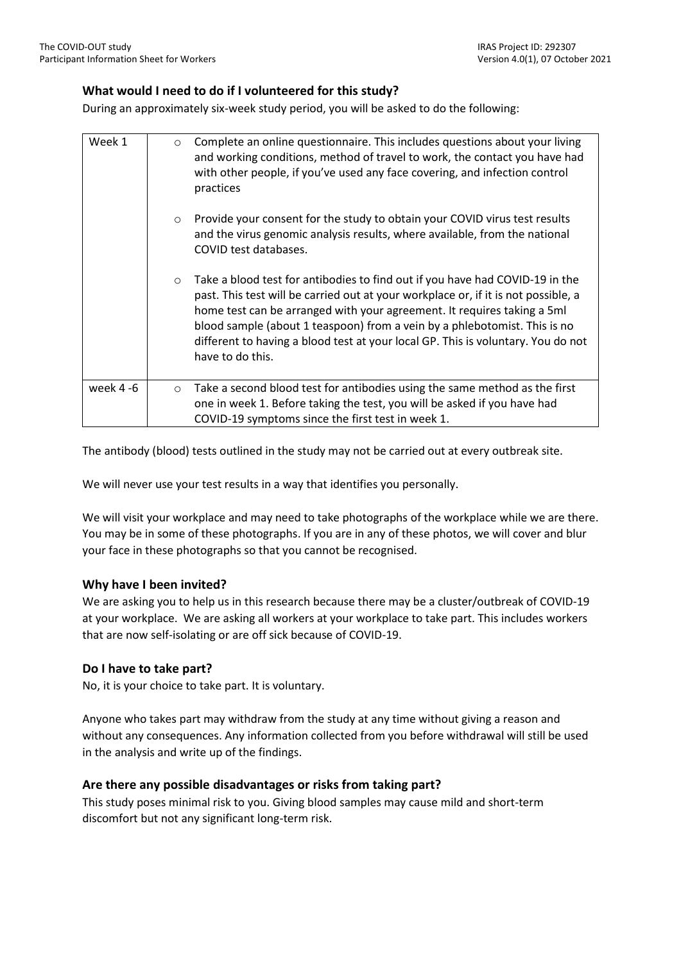#### **What would I need to do if I volunteered for this study?**

During an approximately six-week study period, you will be asked to do the following:

| Week 1    | $\circ$ | Complete an online questionnaire. This includes questions about your living<br>and working conditions, method of travel to work, the contact you have had<br>with other people, if you've used any face covering, and infection control<br>practices                                                                                                                                                                               |
|-----------|---------|------------------------------------------------------------------------------------------------------------------------------------------------------------------------------------------------------------------------------------------------------------------------------------------------------------------------------------------------------------------------------------------------------------------------------------|
|           | $\circ$ | Provide your consent for the study to obtain your COVID virus test results<br>and the virus genomic analysis results, where available, from the national<br>COVID test databases.                                                                                                                                                                                                                                                  |
|           | $\circ$ | Take a blood test for antibodies to find out if you have had COVID-19 in the<br>past. This test will be carried out at your workplace or, if it is not possible, a<br>home test can be arranged with your agreement. It requires taking a 5ml<br>blood sample (about 1 teaspoon) from a vein by a phlebotomist. This is no<br>different to having a blood test at your local GP. This is voluntary. You do not<br>have to do this. |
| week 4 -6 | $\circ$ | Take a second blood test for antibodies using the same method as the first<br>one in week 1. Before taking the test, you will be asked if you have had<br>COVID-19 symptoms since the first test in week 1.                                                                                                                                                                                                                        |

The antibody (blood) tests outlined in the study may not be carried out at every outbreak site.

We will never use your test results in a way that identifies you personally.

We will visit your workplace and may need to take photographs of the workplace while we are there. You may be in some of these photographs. If you are in any of these photos, we will cover and blur your face in these photographs so that you cannot be recognised.

#### **Why have I been invited?**

We are asking you to help us in this research because there may be a cluster/outbreak of COVID-19 at your workplace. We are asking all workers at your workplace to take part. This includes workers that are now self-isolating or are off sick because of COVID-19.

#### **Do I have to take part?**

No, it is your choice to take part. It is voluntary.

Anyone who takes part may withdraw from the study at any time without giving a reason and without any consequences. Any information collected from you before withdrawal will still be used in the analysis and write up of the findings.

#### **Are there any possible disadvantages or risks from taking part?**

This study poses minimal risk to you. Giving blood samples may cause mild and short-term discomfort but not any significant long-term risk.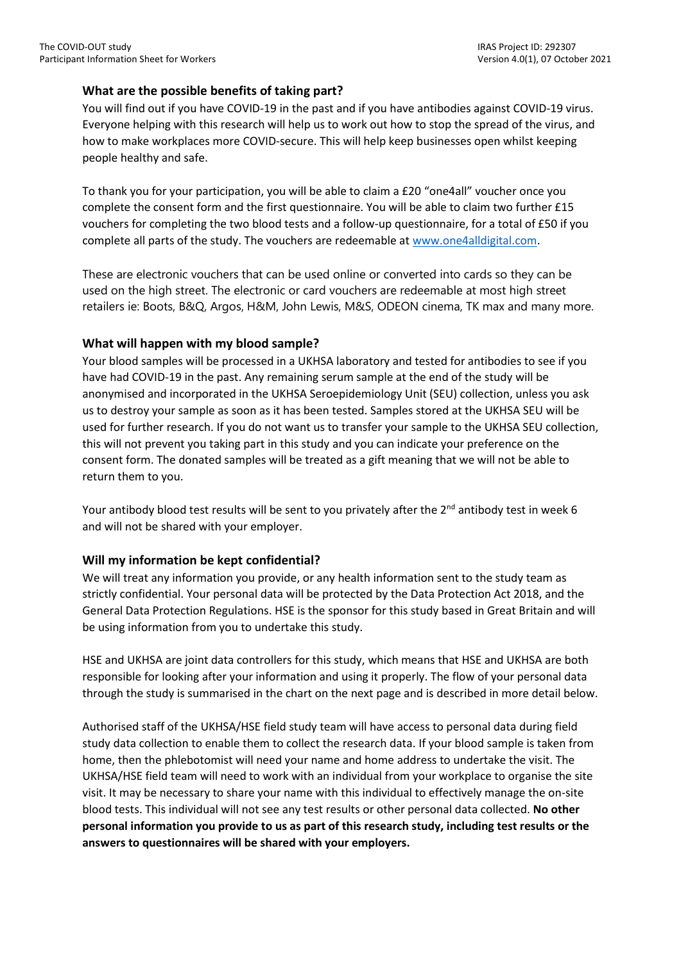#### **What are the possible benefits of taking part?**

You will find out if you have COVID-19 in the past and if you have antibodies against COVID-19 virus. Everyone helping with this research will help us to work out how to stop the spread of the virus, and how to make workplaces more COVID-secure. This will help keep businesses open whilst keeping people healthy and safe.

To thank you for your participation, you will be able to claim a £20 "one4all" voucher once you complete the consent form and the first questionnaire. You will be able to claim two further £15 vouchers for completing the two blood tests and a follow-up questionnaire, for a total of £50 if you complete all parts of the study. The vouchers are redeemable a[t www.one4alldigital.com.](http://www.one4alldigital.com/)

These are electronic vouchers that can be used online or converted into cards so they can be used on the high street. The electronic or card vouchers are redeemable at most high street retailers ie: Boots, B&Q, Argos, H&M, John Lewis, M&S, ODEON cinema, TK max and many more.

#### **What will happen with my blood sample?**

Your blood samples will be processed in a UKHSA laboratory and tested for antibodies to see if you have had COVID-19 in the past. Any remaining serum sample at the end of the study will be anonymised and incorporated in the UKHSA Seroepidemiology Unit (SEU) collection, unless you ask us to destroy your sample as soon as it has been tested. Samples stored at the UKHSA SEU will be used for further research. If you do not want us to transfer your sample to the UKHSA SEU collection, this will not prevent you taking part in this study and you can indicate your preference on the consent form. The donated samples will be treated as a gift meaning that we will not be able to return them to you.

Your antibody blood test results will be sent to you privately after the  $2^{nd}$  antibody test in week 6 and will not be shared with your employer.

#### **Will my information be kept confidential?**

We will treat any information you provide, or any health information sent to the study team as strictly confidential. Your personal data will be protected by the Data Protection Act 2018, and the General Data Protection Regulations. HSE is the sponsor for this study based in Great Britain and will be using information from you to undertake this study.

HSE and UKHSA are joint data controllers for this study, which means that HSE and UKHSA are both responsible for looking after your information and using it properly. The flow of your personal data through the study is summarised in the chart on the next page and is described in more detail below.

Authorised staff of the UKHSA/HSE field study team will have access to personal data during field study data collection to enable them to collect the research data. If your blood sample is taken from home, then the phlebotomist will need your name and home address to undertake the visit. The UKHSA/HSE field team will need to work with an individual from your workplace to organise the site visit. It may be necessary to share your name with this individual to effectively manage the on-site blood tests. This individual will not see any test results or other personal data collected. **No other personal information you provide to us as part of this research study, including test results or the answers to questionnaires will be shared with your employers.**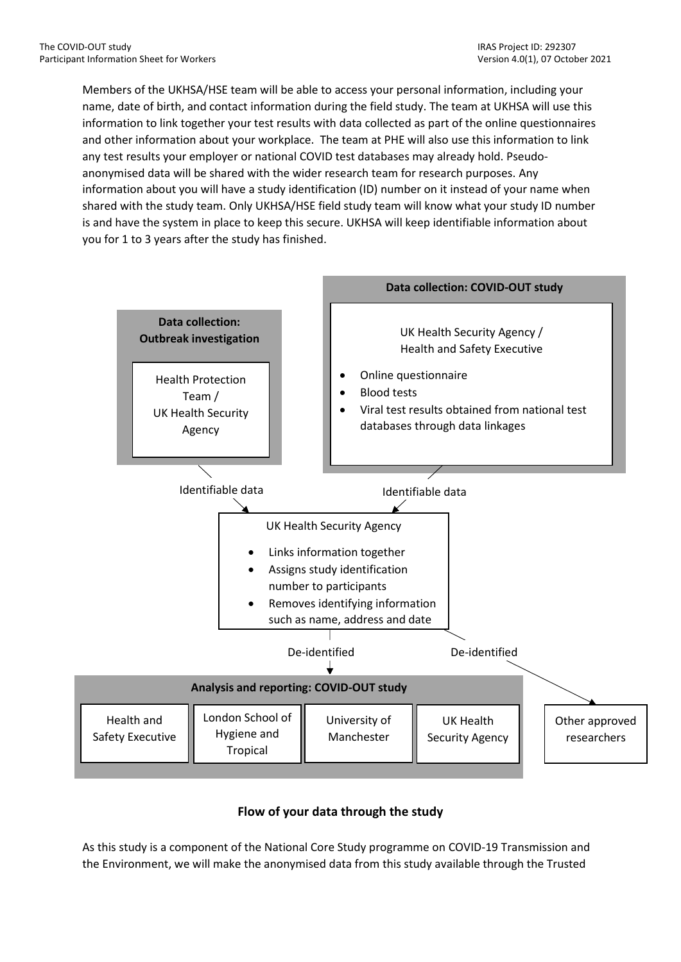Members of the UKHSA/HSE team will be able to access your personal information, including your name, date of birth, and contact information during the field study. The team at UKHSA will use this information to link together your test results with data collected as part of the online questionnaires and other information about your workplace. The team at PHE will also use this information to link any test results your employer or national COVID test databases may already hold. Pseudoanonymised data will be shared with the wider research team for research purposes. Any information about you will have a study identification (ID) number on it instead of your name when shared with the study team. Only UKHSA/HSE field study team will know what your study ID number is and have the system in place to keep this secure. UKHSA will keep identifiable information about you for 1 to 3 years after the study has finished.



## **Flow of your data through the study**

As this study is a component of the National Core Study programme on COVID-19 Transmission and the Environment, we will make the anonymised data from this study available through the Trusted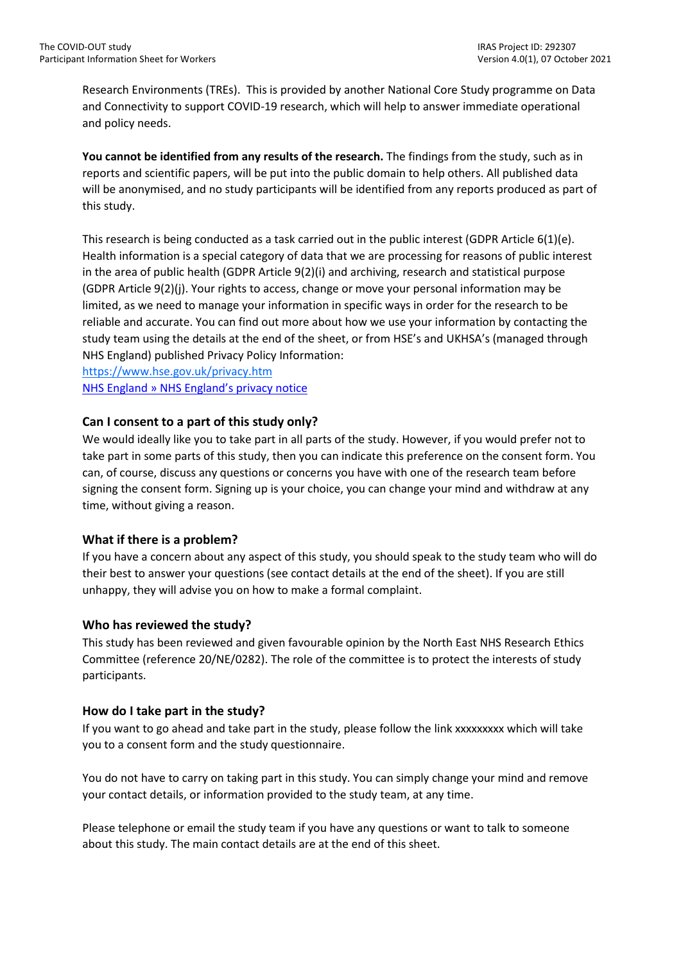Research Environments (TREs). This is provided by another National Core Study programme on Data and Connectivity to support COVID-19 research, which will help to answer immediate operational and policy needs.

**You cannot be identified from any results of the research.** The findings from the study, such as in reports and scientific papers, will be put into the public domain to help others. All published data will be anonymised, and no study participants will be identified from any reports produced as part of this study.

This research is being conducted as a task carried out in the public interest (GDPR Article 6(1)(e). Health information is a special category of data that we are processing for reasons of public interest in the area of public health (GDPR Article 9(2)(i) and archiving, research and statistical purpose (GDPR Article 9(2)(j). Your rights to access, change or move your personal information may be limited, as we need to manage your information in specific ways in order for the research to be reliable and accurate. You can find out more about how we use your information by contacting the study team using the details at the end of the sheet, or from HSE's and UKHSA's (managed through NHS England) published Privacy Policy Information:

<https://www.hse.gov.uk/privacy.htm> [NHS England » NHS England's privacy notice](https://www.england.nhs.uk/contact-us/privacy-notice/)

#### **Can I consent to a part of this study only?**

We would ideally like you to take part in all parts of the study. However, if you would prefer not to take part in some parts of this study, then you can indicate this preference on the consent form. You can, of course, discuss any questions or concerns you have with one of the research team before signing the consent form. Signing up is your choice, you can change your mind and withdraw at any time, without giving a reason.

#### **What if there is a problem?**

If you have a concern about any aspect of this study, you should speak to the study team who will do their best to answer your questions (see contact details at the end of the sheet). If you are still unhappy, they will advise you on how to make a formal complaint.

#### **Who has reviewed the study?**

This study has been reviewed and given favourable opinion by the North East NHS Research Ethics Committee (reference 20/NE/0282). The role of the committee is to protect the interests of study participants.

#### **How do I take part in the study?**

If you want to go ahead and take part in the study, please follow the link xxxxxxxxx which will take you to a consent form and the study questionnaire.

You do not have to carry on taking part in this study. You can simply change your mind and remove your contact details, or information provided to the study team, at any time.

Please telephone or email the study team if you have any questions or want to talk to someone about this study. The main contact details are at the end of this sheet.